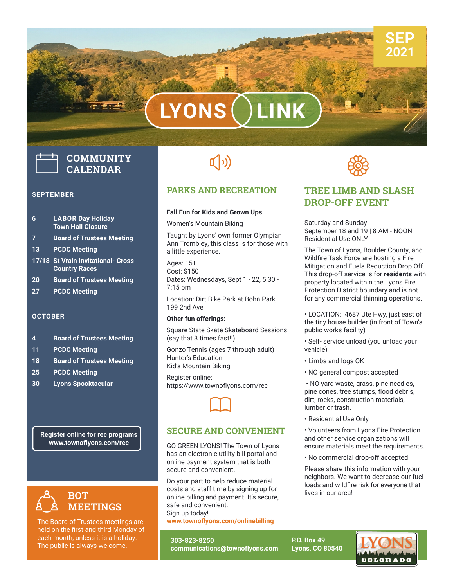# **LYONS LINK**

## **COMMUNITY CALENDAR**

#### **SEPTEMBER**

- **6 LABOR Day Holiday Town Hall Closure**
- **7 Board of Trustees Meeting**
- **13 PCDC Meeting**
- **17/18 St Vrain Invitational- Cross Country Races**
- **20 Board of Trustees Meeting**
- **27 PCDC Meeting**

#### **OCTOBER**

- **4 Board of Trustees Meeting**
- **11 PCDC Meeting**
- **18 Board of Trustees Meeting**
- **25 PCDC Meeting**
- **30 Lyons Spooktacular**

**Register online for rec programs www.townoflyons.com/rec**



The Board of Trustees meetings are held on the first and third Monday of each month, unless it is a holiday. The public is always welcome.

## $\left(\hspace{-2pt}\left(\cdot\right)\right)$

#### **PARKS AND RECREATION**

#### **Fall Fun for Kids and Grown Ups**

Women's Mountain Biking

Taught by Lyons' own former Olympian Ann Trombley, this class is for those with a little experience.

Ages: 15+ Cost: \$150 Dates: Wednesdays, Sept 1 - 22, 5:30 - 7:15 pm

Location: Dirt Bike Park at Bohn Park, 199 2nd Ave

#### **Other fun offerings:**

Square State Skate Skateboard Sessions (say that 3 times fast!!)

Gonzo Tennis (ages 7 through adult) Hunter's Education Kid's Mountain Biking

Register online: https://www.townoflyons.com/rec

 $\Box$ 

#### **SECURE AND CONVENIENT**

onine payment system<br>secure and convenient.<br>Do vour part to help redi GO GREEN LYONS! The Town of Lyons has an electronic utility bill portal and online payment system that is both

Do your part to help reduce material costs and staff time by signing up for online billing and payment. It's secure, safe and convenient. Sign up today! **www.townoflyons.com/onlinebilling**

**303-823-8250 communications@townoflyons.com** **SSS** 

### **TREE LIMB AND SLASH DROP-OFF EVENT**

Saturday and Sunday September 18 and 19 | 8 AM - NOON Residential Use ONLY

The Town of Lyons, Boulder County, and Wildfire Task Force are hosting a Fire Mitigation and Fuels Reduction Drop Off. This drop-off service is for **residents** with property located within the Lyons Fire Protection District boundary and is not for any commercial thinning operations.

• LOCATION: 4687 Ute Hwy, just east of the tiny house builder (in front of Town's public works facility)

• Self- service unload (you unload your vehicle)

- Limbs and logs OK
- NO general compost accepted

• NO yard waste, grass, pine needles, pine cones, tree stumps, flood debris, dirt, rocks, construction materials, lumber or trash.

• Residential Use Only

• Volunteers from Lyons Fire Protection and other service organizations will ensure materials meet the requirements.

• No commercial drop-off accepted.

Please share this information with your neighbors. We want to decrease our fuel loads and wildfire risk for everyone that lives in our area!

**P.O. Box 49 Lyons, CO 80540**



**SEP 2021**